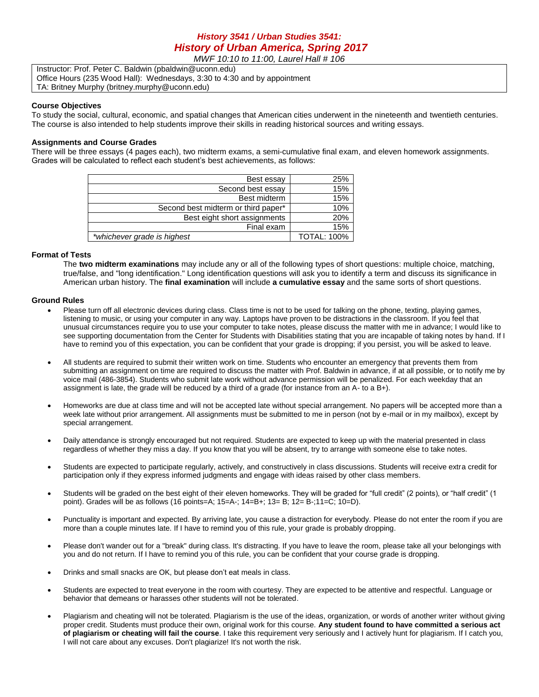# *History 3541 / Urban Studies 3541: History of Urban America, Spring 2017*

*MWF 10:10 to 11:00, Laurel Hall # 106*

Instructor: Prof. Peter C. Baldwin (pbaldwin@uconn.edu) Office Hours (235 Wood Hall): Wednesdays, 3:30 to 4:30 and by appointment TA: Britney Murphy (britney.murphy@uconn.edu)

#### **Course Objectives**

To study the social, cultural, economic, and spatial changes that American cities underwent in the nineteenth and twentieth centuries. The course is also intended to help students improve their skills in reading historical sources and writing essays.

### **Assignments and Course Grades**

There will be three essays (4 pages each), two midterm exams, a semi-cumulative final exam, and eleven homework assignments. Grades will be calculated to reflect each student's best achievements, as follows:

| Best essay                          | 25%                |
|-------------------------------------|--------------------|
| Second best essay                   | 15%                |
| Best midterm                        | 15%                |
| Second best midterm or third paper* | 10%                |
| Best eight short assignments        | 20%                |
| Final exam                          | 15%                |
| *whichever grade is highest         | <b>TOTAL: 100%</b> |

### **Format of Tests**

The **two midterm examinations** may include any or all of the following types of short questions: multiple choice, matching, true/false, and "long identification." Long identification questions will ask you to identify a term and discuss its significance in American urban history. The **final examination** will include **a cumulative essay** and the same sorts of short questions.

### **Ground Rules**

- Please turn off all electronic devices during class. Class time is not to be used for talking on the phone, texting, playing games, listening to music, or using your computer in any way. Laptops have proven to be distractions in the classroom. If you feel that unusual circumstances require you to use your computer to take notes, please discuss the matter with me in advance; I would like to see supporting documentation from the Center for Students with Disabilities stating that you are incapable of taking notes by hand. If I have to remind you of this expectation, you can be confident that your grade is dropping; if you persist, you will be asked to leave.
- All students are required to submit their written work on time. Students who encounter an emergency that prevents them from submitting an assignment on time are required to discuss the matter with Prof. Baldwin in advance, if at all possible, or to notify me by voice mail (486-3854). Students who submit late work without advance permission will be penalized. For each weekday that an assignment is late, the grade will be reduced by a third of a grade (for instance from an A- to a B+).
- Homeworks are due at class time and will not be accepted late without special arrangement. No papers will be accepted more than a week late without prior arrangement. All assignments must be submitted to me in person (not by e-mail or in my mailbox), except by special arrangement.
- Daily attendance is strongly encouraged but not required. Students are expected to keep up with the material presented in class regardless of whether they miss a day. If you know that you will be absent, try to arrange with someone else to take notes.
- Students are expected to participate regularly, actively, and constructively in class discussions. Students will receive extra credit for participation only if they express informed judgments and engage with ideas raised by other class members.
- Students will be graded on the best eight of their eleven homeworks. They will be graded for "full credit" (2 points), or "half credit" (1 point). Grades will be as follows (16 points=A; 15=A-; 14=B+; 13= B; 12= B-;11=C; 10=D).
- Punctuality is important and expected. By arriving late, you cause a distraction for everybody. Please do not enter the room if you are more than a couple minutes late. If I have to remind you of this rule, your grade is probably dropping.
- Please don't wander out for a "break" during class. It's distracting. If you have to leave the room, please take all your belongings with you and do not return. If I have to remind you of this rule, you can be confident that your course grade is dropping.
- Drinks and small snacks are OK, but please don't eat meals in class.
- Students are expected to treat everyone in the room with courtesy. They are expected to be attentive and respectful. Language or behavior that demeans or harasses other students will not be tolerated.
- Plagiarism and cheating will not be tolerated. Plagiarism is the use of the ideas, organization, or words of another writer without giving proper credit. Students must produce their own, original work for this course. **Any student found to have committed a serious act of plagiarism or cheating will fail the course**. I take this requirement very seriously and I actively hunt for plagiarism. If I catch you, I will not care about any excuses. Don't plagiarize! It's not worth the risk.